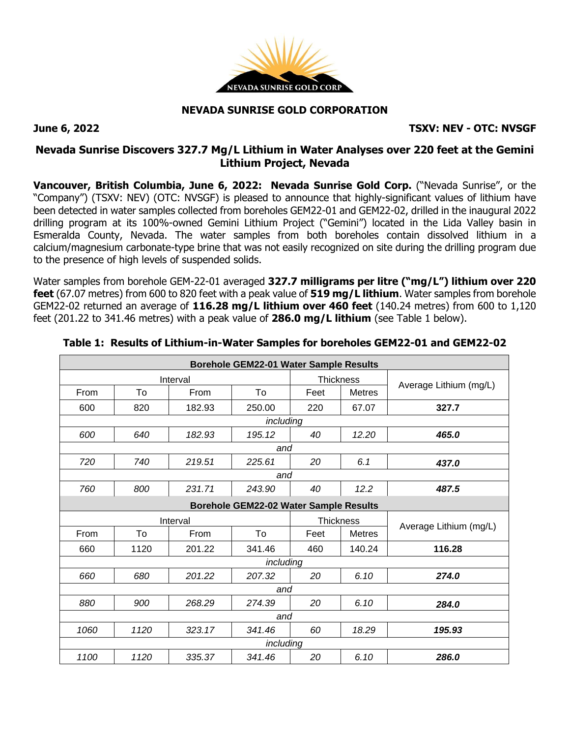

### **NEVADA SUNRISE GOLD CORPORATION**

**June 6, 2022 TSXV: NEV - OTC: NVSGF**

## **Nevada Sunrise Discovers 327.7 Mg/L Lithium in Water Analyses over 220 feet at the Gemini Lithium Project, Nevada**

**Vancouver, British Columbia, June 6, 2022: Nevada Sunrise Gold Corp.** ("Nevada Sunrise", or the "Company") (TSXV: NEV) (OTC: NVSGF) is pleased to announce that highly-significant values of lithium have been detected in water samples collected from boreholes GEM22-01 and GEM22-02, drilled in the inaugural 2022 drilling program at its 100%-owned Gemini Lithium Project ("Gemini") located in the Lida Valley basin in Esmeralda County, Nevada. The water samples from both boreholes contain dissolved lithium in a calcium/magnesium carbonate-type brine that was not easily recognized on site during the drilling program due to the presence of high levels of suspended solids.

Water samples from borehole GEM-22-01 averaged **327.7 milligrams per litre ("mg/L") lithium over 220 feet** (67.07 metres) from 600 to 820 feet with a peak value of **519 mg/L lithium**. Water samples from borehole GEM22-02 returned an average of **116.28 mg/L lithium over 460 feet** (140.24 metres) from 600 to 1,120 feet (201.22 to 341.46 metres) with a peak value of **286.0 mg/L lithium** (see Table 1 below).

| <b>Borehole GEM22-01 Water Sample Results</b> |      |          |           |                  |               |                        |  |  |  |  |  |
|-----------------------------------------------|------|----------|-----------|------------------|---------------|------------------------|--|--|--|--|--|
| Interval                                      |      |          |           | <b>Thickness</b> |               |                        |  |  |  |  |  |
| <b>From</b>                                   | To   | From     | To        | Feet             | <b>Metres</b> | Average Lithium (mg/L) |  |  |  |  |  |
| 600                                           | 820  | 182.93   | 250.00    | 220              | 67.07         | 327.7                  |  |  |  |  |  |
| including                                     |      |          |           |                  |               |                        |  |  |  |  |  |
| 600                                           | 640  | 182.93   | 195.12    | 40               | 12.20         | 465.0                  |  |  |  |  |  |
| and                                           |      |          |           |                  |               |                        |  |  |  |  |  |
| 720                                           | 740  | 219.51   | 225.61    | 20               | 6.1           | 437.0                  |  |  |  |  |  |
| and                                           |      |          |           |                  |               |                        |  |  |  |  |  |
| 760                                           | 800  | 231.71   | 243.90    | 40               | 12.2          | 487.5                  |  |  |  |  |  |
| <b>Borehole GEM22-02 Water Sample Results</b> |      |          |           |                  |               |                        |  |  |  |  |  |
|                                               |      |          |           |                  |               |                        |  |  |  |  |  |
|                                               |      | Interval |           | <b>Thickness</b> |               |                        |  |  |  |  |  |
| From                                          | To   | From     | To        | Feet             | <b>Metres</b> | Average Lithium (mg/L) |  |  |  |  |  |
| 660                                           | 1120 | 201.22   | 341.46    | 460              | 140.24        | 116.28                 |  |  |  |  |  |
|                                               |      |          | including |                  |               |                        |  |  |  |  |  |
| 660                                           | 680  | 201.22   | 207.32    | 20               | 6.10          | 274.0                  |  |  |  |  |  |
|                                               |      |          | and       |                  |               |                        |  |  |  |  |  |
| 880                                           | 900  | 268.29   | 274.39    | 20               | 6.10          | 284.0                  |  |  |  |  |  |
|                                               |      |          | and       |                  |               |                        |  |  |  |  |  |
| 1060                                          | 1120 | 323.17   | 341.46    | 60               | 18.29         | 195.93                 |  |  |  |  |  |
|                                               |      |          | including |                  |               |                        |  |  |  |  |  |

|  | Table 1: Results of Lithium-in-Water Samples for boreholes GEM22-01 and GEM22-02 |  |  |  |
|--|----------------------------------------------------------------------------------|--|--|--|
|  |                                                                                  |  |  |  |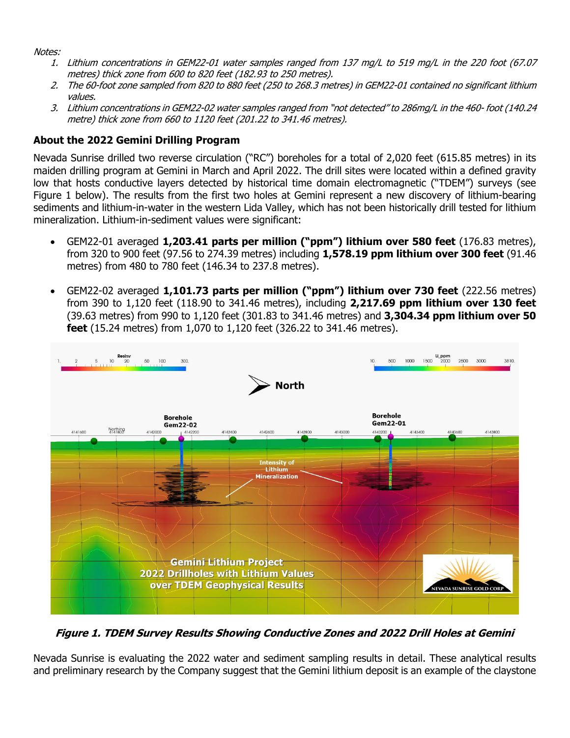Notes:

- 1. Lithium concentrations in GEM22-01 water samples ranged from 137 mg/L to 519 mg/L in the 220 foot (67.07 metres) thick zone from 600 to 820 feet (182.93 to 250 metres).
- 2. The 60-foot zone sampled from 820 to 880 feet (250 to 268.3 metres) in GEM22-01 contained no significant lithium values.
- 3. Lithium concentrations in GEM22-02 water samples ranged from "not detected" to 286mg/L in the 460- foot (140.24 metre) thick zone from 660 to 1120 feet (201.22 to 341.46 metres).

# **About the 2022 Gemini Drilling Program**

Nevada Sunrise drilled two reverse circulation ("RC") boreholes for a total of 2,020 feet (615.85 metres) in its maiden drilling program at Gemini in March and April 2022. The drill sites were located within a defined gravity low that hosts conductive layers detected by historical time domain electromagnetic ("TDEM") surveys (see Figure 1 below). The results from the first two holes at Gemini represent a new discovery of lithium-bearing sediments and lithium-in-water in the western Lida Valley, which has not been historically drill tested for lithium mineralization. Lithium-in-sediment values were significant:

- GEM22-01 averaged **1,203.41 parts per million ("ppm") lithium over 580 feet** (176.83 metres), from 320 to 900 feet (97.56 to 274.39 metres) including **1,578.19 ppm lithium over 300 feet** (91.46 metres) from 480 to 780 feet (146.34 to 237.8 metres).
- GEM22-02 averaged **1,101.73 parts per million ("ppm") lithium over 730 feet** (222.56 metres) from 390 to 1,120 feet (118.90 to 341.46 metres), including **2,217.69 ppm lithium over 130 feet** (39.63 metres) from 990 to 1,120 feet (301.83 to 341.46 metres) and **3,304.34 ppm lithium over 50 feet** (15.24 metres) from 1,070 to 1,120 feet (326.22 to 341.46 metres).



**Figure 1. TDEM Survey Results Showing Conductive Zones and 2022 Drill Holes at Gemini**

Nevada Sunrise is evaluating the 2022 water and sediment sampling results in detail. These analytical results and preliminary research by the Company suggest that the Gemini lithium deposit is an example of the claystone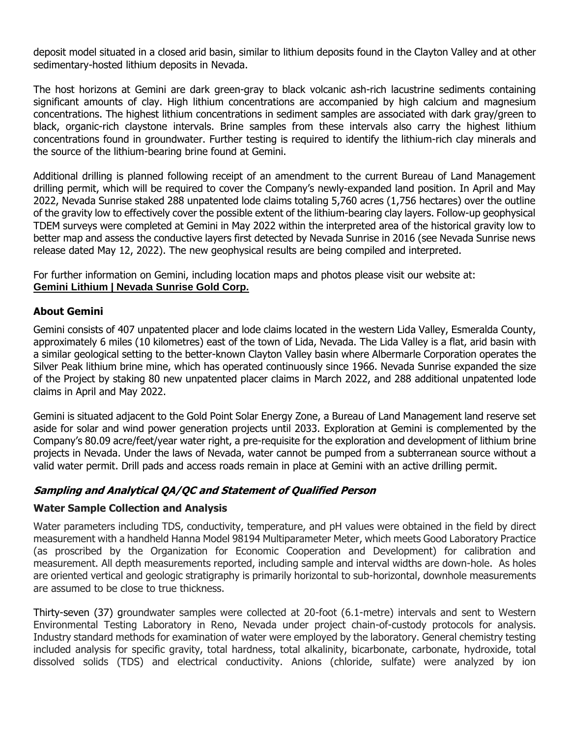deposit model situated in a closed arid basin, similar to lithium deposits found in the Clayton Valley and at other sedimentary-hosted lithium deposits in Nevada.

The host horizons at Gemini are dark green-gray to black volcanic ash-rich lacustrine sediments containing significant amounts of clay. High lithium concentrations are accompanied by high calcium and magnesium concentrations. The highest lithium concentrations in sediment samples are associated with dark gray/green to black, organic-rich claystone intervals. Brine samples from these intervals also carry the highest lithium concentrations found in groundwater. Further testing is required to identify the lithium-rich clay minerals and the source of the lithium-bearing brine found at Gemini.

Additional drilling is planned following receipt of an amendment to the current Bureau of Land Management drilling permit, which will be required to cover the Company's newly-expanded land position. In April and May 2022, Nevada Sunrise staked 288 unpatented lode claims totaling 5,760 acres (1,756 hectares) over the outline of the gravity low to effectively cover the possible extent of the lithium-bearing clay layers. Follow-up geophysical TDEM surveys were completed at Gemini in May 2022 within the interpreted area of the historical gravity low to better map and assess the conductive layers first detected by Nevada Sunrise in 2016 (see Nevada Sunrise news release dated May 12, 2022). The new geophysical results are being compiled and interpreted.

For further information on Gemini, including location maps and photos please visit our website at: **Gemini Lithium | Nevada [Sunrise](https://nevadasunrise.ca/projects/gemini-lithium/) Gold Corp.**

### **About Gemini**

Gemini consists of 407 unpatented placer and lode claims located in the western Lida Valley, Esmeralda County, approximately 6 miles (10 kilometres) east of the town of Lida, Nevada. The Lida Valley is a flat, arid basin with a similar geological setting to the better-known Clayton Valley basin where Albermarle Corporation operates the Silver Peak lithium brine mine, which has operated continuously since 1966. Nevada Sunrise expanded the size of the Project by staking 80 new unpatented placer claims in March 2022, and 288 additional unpatented lode claims in April and May 2022.

Gemini is situated adjacent to the Gold Point Solar Energy Zone, a Bureau of Land Management land reserve set aside for solar and wind power generation projects until 2033. Exploration at Gemini is complemented by the Company's 80.09 acre/feet/year water right, a pre-requisite for the exploration and development of lithium brine projects in Nevada. Under the laws of Nevada, water cannot be pumped from a subterranean source without a valid water permit. Drill pads and access roads remain in place at Gemini with an active drilling permit.

### **Sampling and Analytical QA/QC and Statement of Qualified Person**

#### **Water Sample Collection and Analysis**

Water parameters including TDS, conductivity, temperature, and pH values were obtained in the field by direct measurement with a handheld Hanna Model 98194 Multiparameter Meter, which meets Good Laboratory Practice (as proscribed by the Organization for Economic Cooperation and Development) for calibration and measurement. All depth measurements reported, including sample and interval widths are down-hole. As holes are oriented vertical and geologic stratigraphy is primarily horizontal to sub-horizontal, downhole measurements are assumed to be close to true thickness.

Thirty-seven (37) groundwater samples were collected at 20-foot (6.1-metre) intervals and sent to Western Environmental Testing Laboratory in Reno, Nevada under project chain-of-custody protocols for analysis. Industry standard methods for examination of water were employed by the laboratory. General chemistry testing included analysis for specific gravity, total hardness, total alkalinity, bicarbonate, carbonate, hydroxide, total dissolved solids (TDS) and electrical conductivity. Anions (chloride, sulfate) were analyzed by ion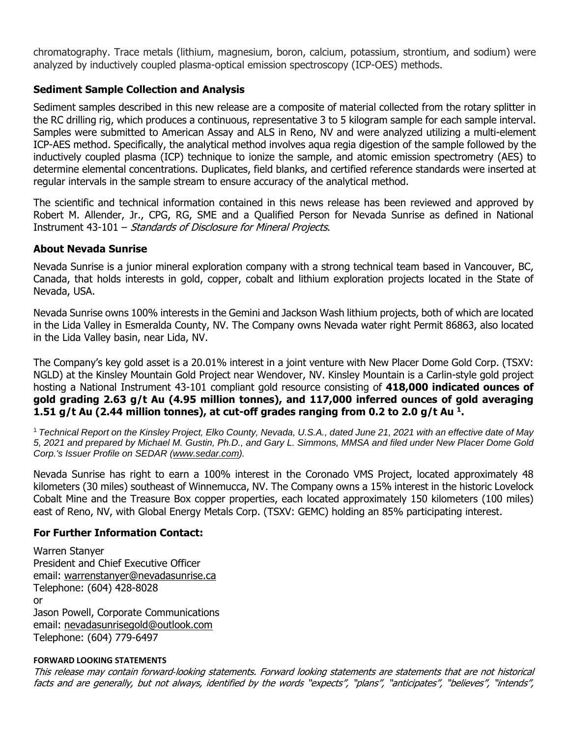chromatography. Trace metals (lithium, magnesium, boron, calcium, potassium, strontium, and sodium) were analyzed by inductively coupled plasma-optical emission spectroscopy (ICP-OES) methods.

## **Sediment Sample Collection and Analysis**

Sediment samples described in this new release are a composite of material collected from the rotary splitter in the RC drilling rig, which produces a continuous, representative 3 to 5 kilogram sample for each sample interval. Samples were submitted to American Assay and ALS in Reno, NV and were analyzed utilizing a multi-element ICP-AES method. Specifically, the analytical method involves aqua regia digestion of the sample followed by the inductively coupled plasma (ICP) technique to ionize the sample, and atomic emission spectrometry (AES) to determine elemental concentrations. Duplicates, field blanks, and certified reference standards were inserted at regular intervals in the sample stream to ensure accuracy of the analytical method.

The scientific and technical information contained in this news release has been reviewed and approved by Robert M. Allender, Jr., CPG, RG, SME and a Qualified Person for Nevada Sunrise as defined in National Instrument 43-101 – Standards of Disclosure for Mineral Projects.

### **About Nevada Sunrise**

Nevada Sunrise is a junior mineral exploration company with a strong technical team based in Vancouver, BC, Canada, that holds interests in gold, copper, cobalt and lithium exploration projects located in the State of Nevada, USA.

Nevada Sunrise owns 100% interests in the Gemini and Jackson Wash lithium projects, both of which are located in the Lida Valley in Esmeralda County, NV. The Company owns Nevada water right Permit 86863, also located in the Lida Valley basin, near Lida, NV.

The Company's key gold asset is a 20.01% interest in a joint venture with New Placer Dome Gold Corp. (TSXV: NGLD) at the Kinsley Mountain Gold Project near Wendover, NV. Kinsley Mountain is a Carlin-style gold project hosting a National Instrument 43-101 compliant gold resource consisting of **418,000 indicated ounces of gold grading 2.63 g/t Au (4.95 million tonnes), and 117,000 inferred ounces of gold averaging 1.51 g/t Au (2.44 million tonnes), at cut-off grades ranging from 0.2 to 2.0 g/t Au <sup>1</sup> .**

<sup>1</sup> Technical Report on the Kinsley Project, Elko County, Nevada, U.S.A., dated June 21, 2021 with an effective date of May 5, 2021 and prepared by Michael M. Gustin, Ph.D., and Gary L. Simmons, MMSA and filed under New Placer Dome Gold *Corp.'s Issuer Profile on SEDAR [\(www.sedar.com\)](https://c212.net/c/link/?t=0&l=en&o=3232825-1&h=4288497972&u=http%3A%2F%2Fwww.sedar.com%2F&a=www.sedar.com).*

Nevada Sunrise has right to earn a 100% interest in the Coronado VMS Project, located approximately 48 kilometers (30 miles) southeast of Winnemucca, NV. The Company owns a 15% interest in the historic Lovelock Cobalt Mine and the Treasure Box copper properties, each located approximately 150 kilometers (100 miles) east of Reno, NV, with Global Energy Metals Corp. (TSXV: GEMC) holding an 85% participating interest.

### **For Further Information Contact:**

Warren Stanyer President and Chief Executive Officer email: [warrenstanyer@nevadasunrise.ca](mailto:warrenstanyer@nevadasunrise.ca) Telephone: (604) 428-8028 or Jason Powell, Corporate Communications email: [nevadasunrisegold@outlook.com](mailto:nevadasunrisegold@outlook.com) Telephone: (604) 779-6497

#### **FORWARD LOOKING STATEMENTS**

This release may contain forward‐looking statements. Forward looking statements are statements that are not historical facts and are generally, but not always, identified by the words "expects", "plans", "anticipates", "believes", "intends",